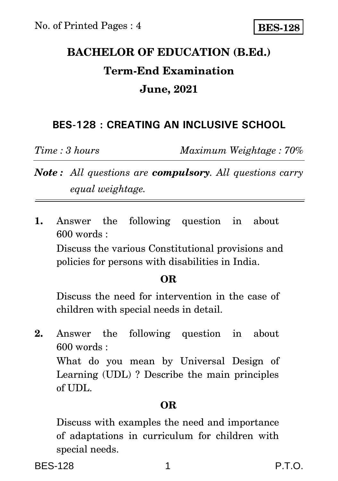# **BACHELOR OF EDUCATION (B.Ed.) Term-End Examination June, 2021**

## **BES-128 : CREATING AN INCLUSIVE SCHOOL**

*Time : 3 hours Maximum Weightage : 70%*

*Note : All questions are compulsory. All questions carry equal weightage.*

**1.** Answer the following question in about 600 words :

Discuss the various Constitutional provisions and policies for persons with disabilities in India.

### **OR**

Discuss the need for intervention in the case of children with special needs in detail.

**2.** Answer the following question in about 600 words :

What do you mean by Universal Design of Learning (UDL) ? Describe the main principles of UDL.

### **OR**

Discuss with examples the need and importance of adaptations in curriculum for children with special needs.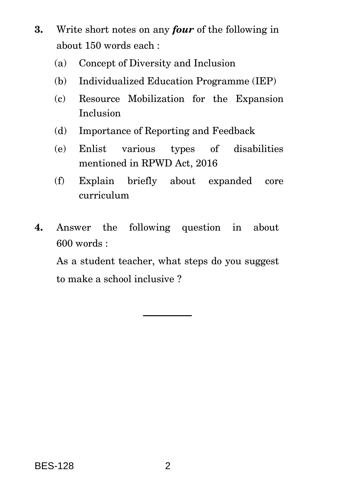- **3.** Write short notes on any *four* of the following in about 150 words each :
	- (a) Concept of Diversity and Inclusion
	- (b) Individualized Education Programme (IEP)
	- (c) Resource Mobilization for the Expansion Inclusion
	- (d) Importance of Reporting and Feedback
	- (e) Enlist various types of disabilities mentioned in RPWD Act, 2016
	- (f) Explain briefly about expanded core curriculum
- **4.** Answer the following question in about 600 words :

As a student teacher, what steps do you suggest to make a school inclusive ?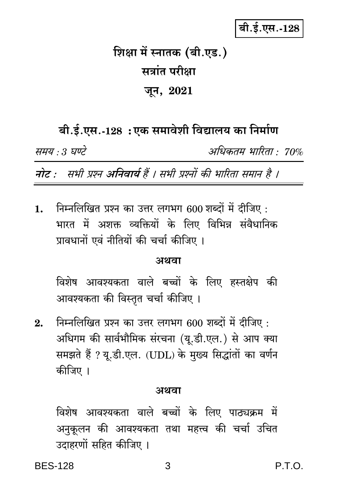## बी.ई.एस.-128

# शिक्षा में स्नातक (बी.एड.) सत्रांत परीक्षा जून, 2021

## बी.ई.एस.-128: एक समावेशी विद्यालय का निर्माण

समय : 3 घण्टे

अधिकतम भारिता : 70%

नोट : सभी प्रश्न अनिवार्य हैं । सभी प्रश्नों की भारिता समान है ।

निम्नलिखित प्रश्न का उत्तर लगभग 600 शब्दों में दीजिए :  $\mathbf{1}$ . भारत में अशक्त व्यक्तियों के लिए विभिन्न संवैधानिक प्रावधानों एवं नीतियों की चर्चा कीजिए ।

### अथवा

विशेष आवश्यकता वाले बच्चों के लिए हस्तक्षेप की आवश्यकता की विस्तृत चर्चा कीजिए ।

निम्नलिखित प्रश्न का उत्तर लगभग 600 शब्दों में दीजिए :  $2.$ अधिगम की सार्वभौमिक संरचना (यू.डी.एल.) से आप क्या समझते हैं ? यू.डी.एल. (UDL) के मुख्य सिद्धांतों का वर्णन कीजिए ।

#### अथवा

विशेष आवश्यकता वाले बच्चों के लिए पाठ्यक्रम में अनुकूलन की आवश्यकता तथा महत्त्व की चर्चा उचित उदाहरणों सहित कीजिए ।

P.T.O.